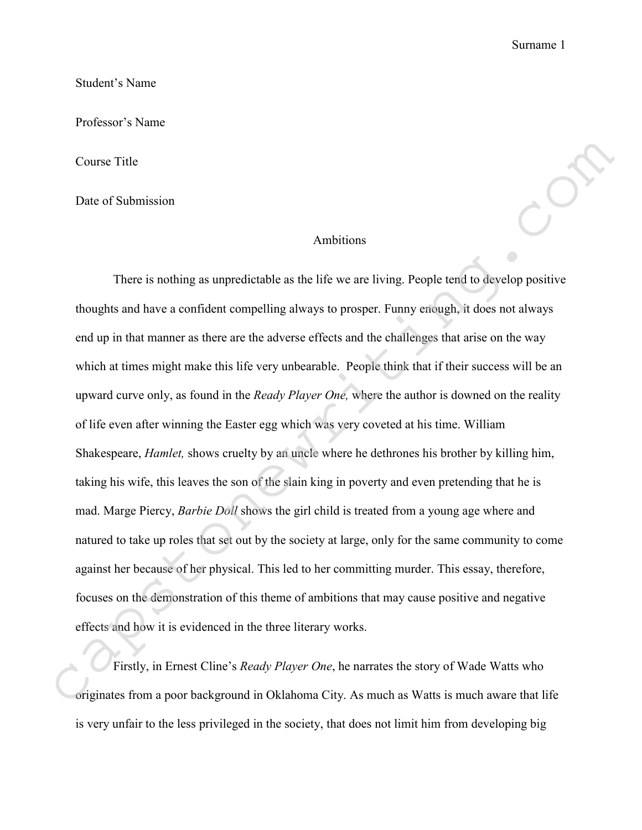Surname 1

Student's Name

Professor's Name

Course Title

Date of Submission

## Ambitions

There is nothing as unpredictable as the life we are living. People tend to develop positive thoughts and have a confident compelling always to prosper. Funny enough, it does not always end up in that manner as there are the adverse effects and the challenges that arise on the way which at times might make this life very unbearable. People think that if their success will be an upward curve only, as found in the *Ready Player One,* where the author is downed on the reality of life even after winning the Easter egg which was very coveted at his time. William Shakespeare, *Hamlet,* shows cruelty by an uncle where he dethrones his brother by killing him, taking his wife, this leaves the son of the slain king in poverty and even pretending that he is mad. Marge Piercy, *Barbie Doll* shows the girl child is treated from a young age where and natured to take up roles that set out by the society at large, only for the same community to come against her because of her physical. This led to her committing murder. This essay, therefore, focuses on the demonstration of this theme of ambitions that may cause positive and negative effects and how it is evidenced in the three literary works. Course Title<br>
One of Submission<br>
There is nothing as unpredictable as the life we are living. People tend to develop positive<br>
thoughts and have a confident compelling always to prosper. Funny enough, it does not dways<br>
a

Firstly, in Ernest Cline's *Ready Player One*, he narrates the story of Wade Watts who is very unfair to the less privileged in the society, that does not limit him from developing big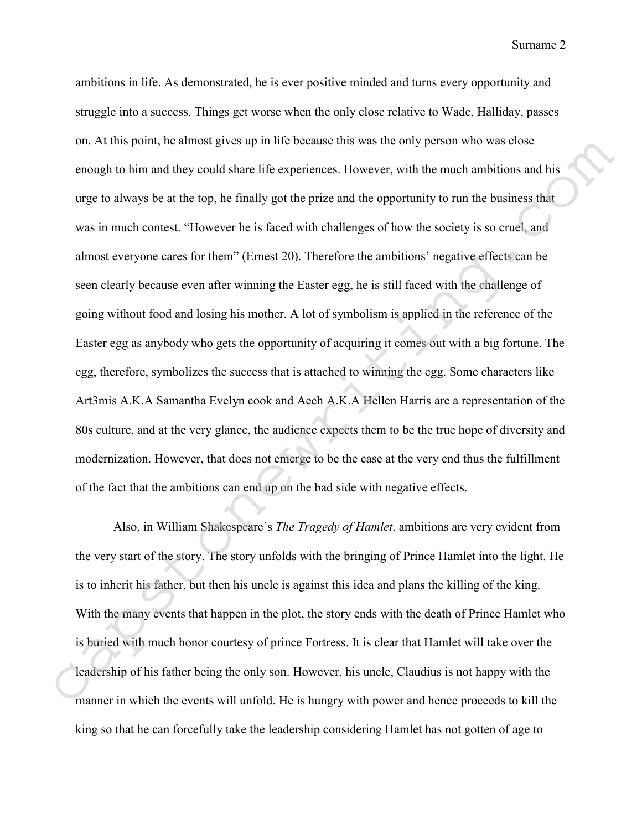Surname 2

ambitions in life. As demonstrated, he is ever positive minded and turns every opportunity and struggle into a success. Things get worse when the only close relative to Wade, Halliday, passes on. At this point, he almost gives up in life because this was the only person who was close enough to him and they could share life experiences. However, with the much ambitions and his urge to always be at the top, he finally got the prize and the opportunity to run the business that was in much contest. "However he is faced with challenges of how the society is so cruel, and almost everyone cares for them" (Ernest 20). Therefore the ambitions' negative effects can be seen clearly because even after winning the Easter egg, he is still faced with the challenge of going without food and losing his mother. A lot of symbolism is applied in the reference of the Easter egg as anybody who gets the opportunity of acquiring it comes out with a big fortune. The egg, therefore, symbolizes the success that is attached to winning the egg. Some characters like Art3mis A.K.A Samantha Evelyn cook and Aech A.K.A Hellen Harris are a representation of the 80s culture, and at the very glance, the audience expects them to be the true hope of diversity and modernization. However, that does not emerge to be the case at the very end thus the fulfillment of the fact that the ambitions can end up on the bad side with negative effects. on. At this point, he almost gives up in lits hecause this was the only person who was close<br>enough to him and they could share life experiences. However, with the much ambitions and his<br>urge to always be at the top, he f

Also, in William Shakespeare's *The Tragedy of Hamlet*, ambitions are very evident from the very start of the story. The story unfolds with the bringing of Prince Hamlet into the light. He is to inherit his father, but then his uncle is against this idea and plans the killing of the king. With the many events that happen in the plot, the story ends with the death of Prince Hamlet who is buried with much honor courtesy of prince Fortress. It is clear that Hamlet will take over the leadership of his father being the only son. However, his uncle, Claudius is not happy with the manner in which the events will unfold. He is hungry with power and hence proceeds to kill the king so that he can forcefully take the leadership considering Hamlet has not gotten of age to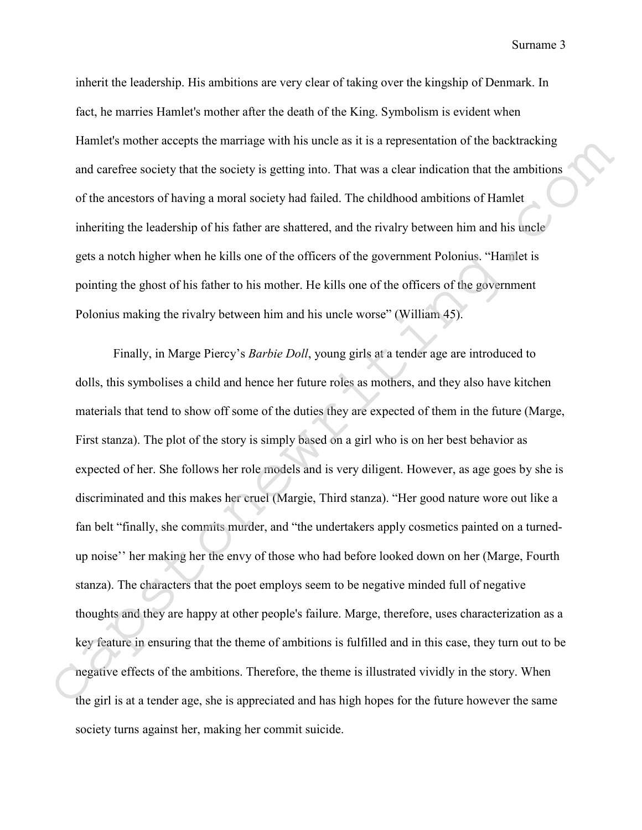Surname 3

inherit the leadership. His ambitions are very clear of taking over the kingship of Denmark. In fact, he marries Hamlet's mother after the death of the King. Symbolism is evident when Hamlet's mother accepts the marriage with his uncle as it is a representation of the backtracking and carefree society that the society is getting into. That was a clear indication that the ambitions of the ancestors of having a moral society had failed. The childhood ambitions of Hamlet inheriting the leadership of his father are shattered, and the rivalry between him and his uncle gets a notch higher when he kills one of the officers of the government Polonius. "Hamlet is pointing the ghost of his father to his mother. He kills one of the officers of the government Polonius making the rivalry between him and his uncle worse" (William 45).

Finally, in Marge Piercy's *Barbie Doll*, young girls at a tender age are introduced to dolls, this symbolises a child and hence her future roles as mothers, and they also have kitchen materials that tend to show off some of the duties they are expected of them in the future (Marge, First stanza). The plot of the story is simply based on a girl who is on her best behavior as expected of her. She follows her role models and is very diligent. However, as age goes by she is discriminated and this makes her cruel (Margie, Third stanza). "Her good nature wore out like a fan belt "finally, she commits murder, and "the undertakers apply cosmetics painted on a turnedup noise'' her making her the envy of those who had before looked down on her (Marge, Fourth stanza). The characters that the poet employs seem to be negative minded full of negative thoughts and they are happy at other people's failure. Marge, therefore, uses characterization as a key feature in ensuring that the theme of ambitions is fulfilled and in this case, they turn out to be negative effects of the ambitions. Therefore, the theme is illustrated vividly in the story. When the girl is at a tender age, she is appreciated and has high hopes for the future however the same society turns against her, making her commit suicide. Hantics's mother accepts the marriage with his unite as it is a representation of the baseline<br>capacities and detective the through a moral society is getting into. That was a clear indication that the ambitions<br>of the an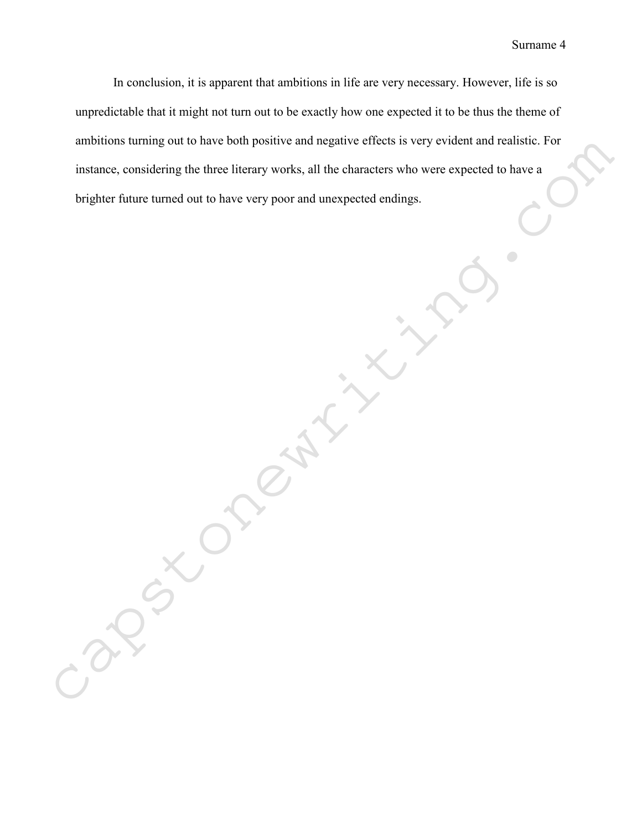In conclusion, it is apparent that ambitions in life are very necessary. However, life is so unpredictable that it might not turn out to be exactly how one expected it to be thus the theme of ambitions turning out to have both positive and negative effects is very evident and realistic. For instance, considering the three literary works, all the characters who were expected to have a anholions furning out to have born positive and negative effects is very evident and realistic. For<br>instance, considering the three literary works, all the characters who were expected to have a<br>brighter future turned out